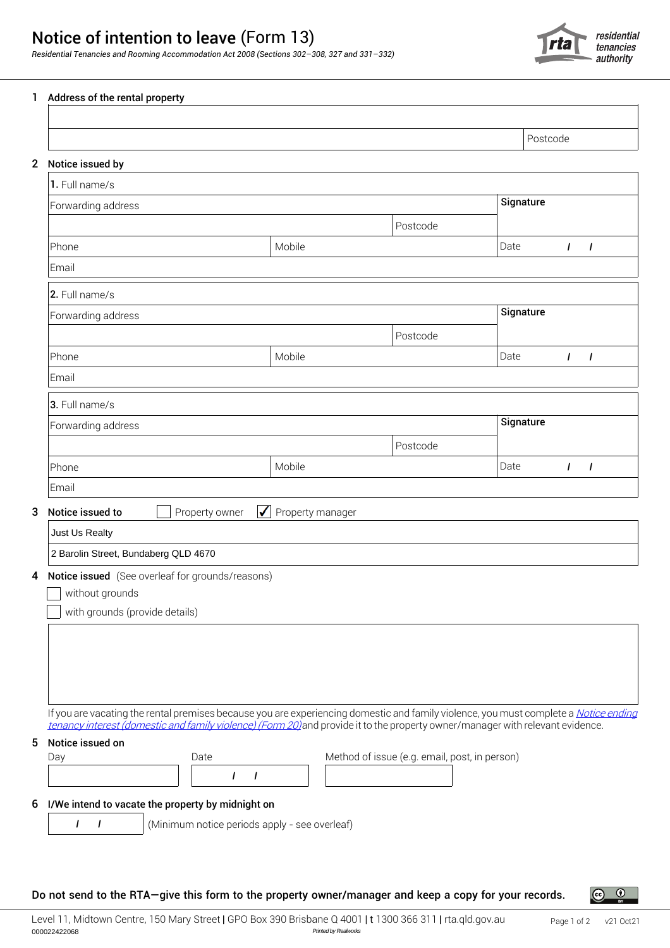## Notice of intention to leave (Form 13)

*Residential Tenancies and Rooming Accommodation Act 2008 (Sections 302–308, 327 and 331–332)*



| 1           | Address of the rental property                                                                                                                                                                                                                                                                                                        |        |                                               |          |      |           |              |                |
|-------------|---------------------------------------------------------------------------------------------------------------------------------------------------------------------------------------------------------------------------------------------------------------------------------------------------------------------------------------|--------|-----------------------------------------------|----------|------|-----------|--------------|----------------|
|             |                                                                                                                                                                                                                                                                                                                                       |        |                                               |          |      | Postcode  |              |                |
| $\mathbf 2$ | Notice issued by                                                                                                                                                                                                                                                                                                                      |        |                                               |          |      |           |              |                |
|             | 1. Full name/s                                                                                                                                                                                                                                                                                                                        |        |                                               |          |      |           |              |                |
|             | Forwarding address                                                                                                                                                                                                                                                                                                                    |        |                                               |          |      | Signature |              |                |
|             |                                                                                                                                                                                                                                                                                                                                       |        |                                               | Postcode |      |           |              |                |
|             | Phone                                                                                                                                                                                                                                                                                                                                 | Mobile |                                               |          | Date |           | $\mathbf{I}$ | $\overline{I}$ |
|             | Email                                                                                                                                                                                                                                                                                                                                 |        |                                               |          |      |           |              |                |
|             | 2. Full name/s                                                                                                                                                                                                                                                                                                                        |        |                                               |          |      |           |              |                |
|             | Forwarding address                                                                                                                                                                                                                                                                                                                    |        |                                               |          |      | Signature |              |                |
|             |                                                                                                                                                                                                                                                                                                                                       |        |                                               | Postcode |      |           |              |                |
|             | Phone                                                                                                                                                                                                                                                                                                                                 | Mobile |                                               |          | Date |           | $\mathbf{I}$ | I              |
|             | Email                                                                                                                                                                                                                                                                                                                                 |        |                                               |          |      |           |              |                |
|             | 3. Full name/s                                                                                                                                                                                                                                                                                                                        |        |                                               |          |      |           |              |                |
|             | Forwarding address                                                                                                                                                                                                                                                                                                                    |        |                                               |          |      | Signature |              |                |
|             |                                                                                                                                                                                                                                                                                                                                       |        |                                               | Postcode |      |           |              |                |
|             | Phone                                                                                                                                                                                                                                                                                                                                 | Mobile |                                               |          | Date |           | $\mathbf{I}$ | $\mathbf{I}$   |
|             | Email                                                                                                                                                                                                                                                                                                                                 |        |                                               |          |      |           |              |                |
| 3           | Notice issued to<br>Property owner<br>Property manager<br>$\sqrt{2}$                                                                                                                                                                                                                                                                  |        |                                               |          |      |           |              |                |
|             | Just Us Realty                                                                                                                                                                                                                                                                                                                        |        |                                               |          |      |           |              |                |
|             | 2 Barolin Street, Bundaberg QLD 4670                                                                                                                                                                                                                                                                                                  |        |                                               |          |      |           |              |                |
|             | 4 Notice issued (See overleaf for grounds/reasons)<br>without grounds<br>with grounds (provide details)                                                                                                                                                                                                                               |        |                                               |          |      |           |              |                |
| 5           | If you are vacating the rental premises because you are experiencing domestic and family violence, you must complete a Notice ending<br>tenancy interest (domestic and family violence) (Form 20) and provide it to the property owner/manager with relevant evidence.<br>Notice issued on<br>Day<br>Date<br>$\mathbf{I}$<br>$\prime$ |        | Method of issue (e.g. email, post, in person) |          |      |           |              |                |
| 6           | I/We intend to vacate the property by midnight on<br>$\overline{I}$<br>$\overline{1}$<br>(Minimum notice periods apply - see overleaf)                                                                                                                                                                                                |        |                                               |          |      |           |              |                |

Do not send to the RTA—give this form to the property owner/manager and keep a copy for your records.

 $\left($ 

 $\odot$